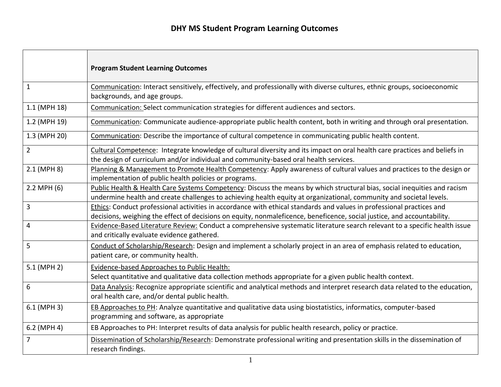|                 | <b>Program Student Learning Outcomes</b>                                                                                                                                                                                                         |
|-----------------|--------------------------------------------------------------------------------------------------------------------------------------------------------------------------------------------------------------------------------------------------|
| $\mathbf{1}$    | Communication: Interact sensitively, effectively, and professionally with diverse cultures, ethnic groups, socioeconomic<br>backgrounds, and age groups.                                                                                         |
| 1.1 (MPH 18)    | Communication: Select communication strategies for different audiences and sectors.                                                                                                                                                              |
| 1.2 (MPH 19)    | Communication: Communicate audience-appropriate public health content, both in writing and through oral presentation.                                                                                                                            |
| 1.3 (MPH 20)    | Communication: Describe the importance of cultural competence in communicating public health content.                                                                                                                                            |
| $\overline{2}$  | Cultural Competence: Integrate knowledge of cultural diversity and its impact on oral health care practices and beliefs in<br>the design of curriculum and/or individual and community-based oral health services.                               |
| 2.1 (MPH 8)     | Planning & Management to Promote Health Competency: Apply awareness of cultural values and practices to the design or<br>implementation of public health policies or programs.                                                                   |
| $2.2$ MPH $(6)$ | Public Health & Health Care Systems Competency: Discuss the means by which structural bias, social inequities and racism<br>undermine health and create challenges to achieving health equity at organizational, community and societal levels.  |
| 3               | Ethics: Conduct professional activities in accordance with ethical standards and values in professional practices and<br>decisions, weighing the effect of decisions on equity, nonmaleficence, beneficence, social justice, and accountability. |
| 4               | Evidence-Based Literature Review: Conduct a comprehensive systematic literature search relevant to a specific health issue<br>and critically evaluate evidence gathered.                                                                         |
| 5               | Conduct of Scholarship/Research: Design and implement a scholarly project in an area of emphasis related to education,<br>patient care, or community health.                                                                                     |
| 5.1 (MPH 2)     | <b>Evidence-based Approaches to Public Health:</b><br>Select quantitative and qualitative data collection methods appropriate for a given public health context.                                                                                 |
| 6               | Data Analysis: Recognize appropriate scientific and analytical methods and interpret research data related to the education,<br>oral health care, and/or dental public health.                                                                   |
| 6.1 (MPH 3)     | EB Approaches to PH: Analyze quantitative and qualitative data using biostatistics, informatics, computer-based<br>programming and software, as appropriate                                                                                      |
| 6.2 (MPH 4)     | EB Approaches to PH: Interpret results of data analysis for public health research, policy or practice.                                                                                                                                          |
| 7               | Dissemination of Scholarship/Research: Demonstrate professional writing and presentation skills in the dissemination of<br>research findings.                                                                                                    |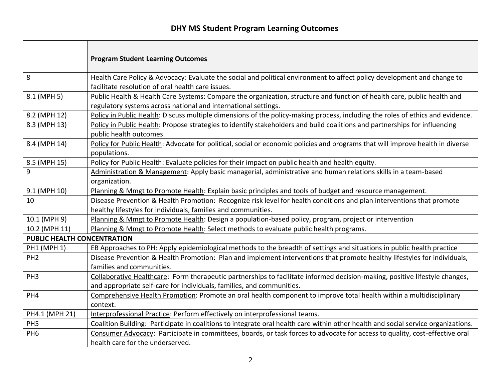## **DHY MS Student Program Learning Outcomes**

 $\Gamma$ 

|                                    | <b>Program Student Learning Outcomes</b>                                                                                                                                                  |  |
|------------------------------------|-------------------------------------------------------------------------------------------------------------------------------------------------------------------------------------------|--|
| 8                                  | Health Care Policy & Advocacy: Evaluate the social and political environment to affect policy development and change to<br>facilitate resolution of oral health care issues.              |  |
|                                    |                                                                                                                                                                                           |  |
| 8.1 (MPH 5)                        | Public Health & Health Care Systems: Compare the organization, structure and function of health care, public health and<br>regulatory systems across national and international settings. |  |
| 8.2 (MPH 12)                       | Policy in Public Health: Discuss multiple dimensions of the policy-making process, including the roles of ethics and evidence.                                                            |  |
| 8.3 (MPH 13)                       | Policy in Public Health: Propose strategies to identify stakeholders and build coalitions and partnerships for influencing<br>public health outcomes.                                     |  |
| 8.4 (MPH 14)                       | Policy for Public Health: Advocate for political, social or economic policies and programs that will improve health in diverse<br>populations.                                            |  |
| 8.5 (MPH 15)                       | Policy for Public Health: Evaluate policies for their impact on public health and health equity.                                                                                          |  |
| 9                                  | Administration & Management: Apply basic managerial, administrative and human relations skills in a team-based                                                                            |  |
|                                    | organization.                                                                                                                                                                             |  |
| 9.1 (MPH 10)                       | Planning & Mmgt to Promote Health: Explain basic principles and tools of budget and resource management.                                                                                  |  |
| 10                                 | Disease Prevention & Health Promotion: Recognize risk level for health conditions and plan interventions that promote                                                                     |  |
|                                    | healthy lifestyles for individuals, families and communities.                                                                                                                             |  |
| 10.1 (MPH 9)                       | Planning & Mmgt to Promote Health: Design a population-based policy, program, project or intervention                                                                                     |  |
| 10.2 (MPH 11)                      | Planning & Mmgt to Promote Health: Select methods to evaluate public health programs.                                                                                                     |  |
| <b>PUBLIC HEALTH CONCENTRATION</b> |                                                                                                                                                                                           |  |
| <b>PH1 (MPH 1)</b>                 | EB Approaches to PH: Apply epidemiological methods to the breadth of settings and situations in public health practice                                                                    |  |
| PH <sub>2</sub>                    | Disease Prevention & Health Promotion: Plan and implement interventions that promote healthy lifestyles for individuals,                                                                  |  |
|                                    | families and communities.                                                                                                                                                                 |  |
| PH <sub>3</sub>                    | Collaborative Healthcare: Form therapeutic partnerships to facilitate informed decision-making, positive lifestyle changes,                                                               |  |
|                                    | and appropriate self-care for individuals, families, and communities.                                                                                                                     |  |
| PH <sub>4</sub>                    | Comprehensive Health Promotion: Promote an oral health component to improve total health within a multidisciplinary                                                                       |  |
|                                    | context.                                                                                                                                                                                  |  |
| PH4.1 (MPH 21)                     | Interprofessional Practice: Perform effectively on interprofessional teams.                                                                                                               |  |
| PH <sub>5</sub>                    | Coalition Building: Participate in coalitions to integrate oral health care within other health and social service organizations.                                                         |  |
| PH <sub>6</sub>                    | Consumer Advocacy: Participate in committees, boards, or task forces to advocate for access to quality, cost-effective oral                                                               |  |
|                                    | health care for the underserved.                                                                                                                                                          |  |